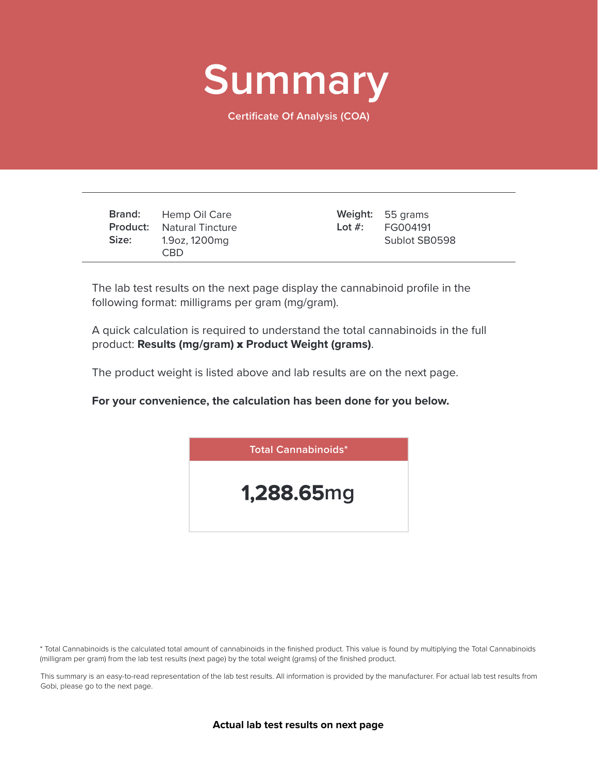

**Certificate Of Analysis (COA)**

|       | <b>Brand:</b> Hemp Oil Care      | Weight: 55 grams    |
|-------|----------------------------------|---------------------|
|       | <b>Product:</b> Natural Tincture | Lot $\#$ : FG004191 |
| Size: | 1.9oz, 1200mg<br><b>CBD</b>      | Sublot SB0598       |

The lab test results on the next page display the cannabinoid profile in the following format: milligrams per gram (mg/gram).

A quick calculation is required to understand the total cannabinoids in the full product: **Results (mg/gram)** x **Product Weight (grams)**.

The product weight is listed above and lab results are on the next page.

**For your convenience, the calculation has been done for you below.**



\* Total Cannabinoids is the calculated total amount of cannabinoids in the finished product. This value is found by multiplying the Total Cannabinoids (milligram per gram) from the lab test results (next page) by the total weight (grams) of the finished product.

This summary is an easy-to-read representation of the lab test results. All information is provided by the manufacturer. For actual lab test results from Gobi, please go to the next page.